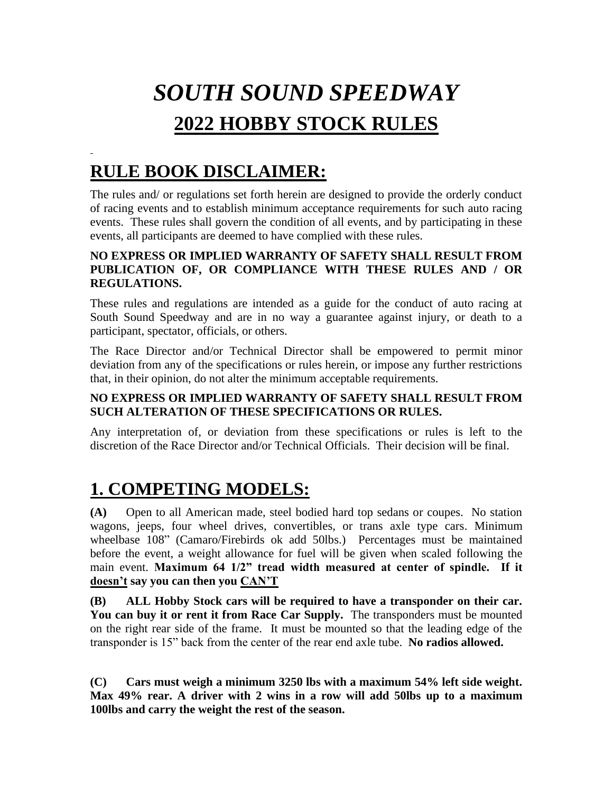# *SOUTH SOUND SPEEDWAY*  **2022 HOBBY STOCK RULES**

## **RULE BOOK DISCLAIMER:**

The rules and/ or regulations set forth herein are designed to provide the orderly conduct of racing events and to establish minimum acceptance requirements for such auto racing events. These rules shall govern the condition of all events, and by participating in these events, all participants are deemed to have complied with these rules.

#### **NO EXPRESS OR IMPLIED WARRANTY OF SAFETY SHALL RESULT FROM PUBLICATION OF, OR COMPLIANCE WITH THESE RULES AND / OR REGULATIONS.**

These rules and regulations are intended as a guide for the conduct of auto racing at South Sound Speedway and are in no way a guarantee against injury, or death to a participant, spectator, officials, or others.

The Race Director and/or Technical Director shall be empowered to permit minor deviation from any of the specifications or rules herein, or impose any further restrictions that, in their opinion, do not alter the minimum acceptable requirements.

#### **NO EXPRESS OR IMPLIED WARRANTY OF SAFETY SHALL RESULT FROM SUCH ALTERATION OF THESE SPECIFICATIONS OR RULES.**

Any interpretation of, or deviation from these specifications or rules is left to the discretion of the Race Director and/or Technical Officials. Their decision will be final.

# **1. COMPETING MODELS:**

**(A)** Open to all American made, steel bodied hard top sedans or coupes. No station wagons, jeeps, four wheel drives, convertibles, or trans axle type cars. Minimum wheelbase 108" (Camaro/Firebirds ok add 50lbs.) Percentages must be maintained before the event, a weight allowance for fuel will be given when scaled following the main event. **Maximum 64 1/2" tread width measured at center of spindle. If it doesn't say you can then you CAN'T**

**(B) ALL Hobby Stock cars will be required to have a transponder on their car. You can buy it or rent it from Race Car Supply.** The transponders must be mounted on the right rear side of the frame. It must be mounted so that the leading edge of the transponder is 15" back from the center of the rear end axle tube. **No radios allowed.** 

**(C) Cars must weigh a minimum 3250 lbs with a maximum 54% left side weight. Max 49% rear. A driver with 2 wins in a row will add 50lbs up to a maximum 100lbs and carry the weight the rest of the season.**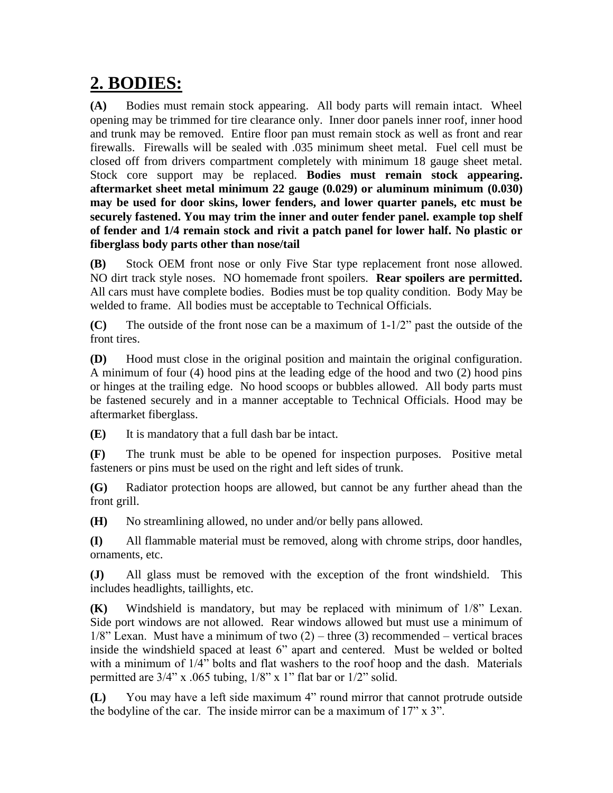### **2. BODIES:**

**(A)** Bodies must remain stock appearing. All body parts will remain intact. Wheel opening may be trimmed for tire clearance only. Inner door panels inner roof, inner hood and trunk may be removed. Entire floor pan must remain stock as well as front and rear firewalls. Firewalls will be sealed with .035 minimum sheet metal. Fuel cell must be closed off from drivers compartment completely with minimum 18 gauge sheet metal. Stock core support may be replaced. **Bodies must remain stock appearing. aftermarket sheet metal minimum 22 gauge (0.029) or aluminum minimum (0.030) may be used for door skins, lower fenders, and lower quarter panels, etc must be securely fastened. You may trim the inner and outer fender panel. example top shelf of fender and 1/4 remain stock and rivit a patch panel for lower half. No plastic or fiberglass body parts other than nose/tail**

**(B)** Stock OEM front nose or only Five Star type replacement front nose allowed. NO dirt track style noses. NO homemade front spoilers. **Rear spoilers are permitted.** All cars must have complete bodies. Bodies must be top quality condition. Body May be welded to frame. All bodies must be acceptable to Technical Officials.

**(C)** The outside of the front nose can be a maximum of 1-1/2" past the outside of the front tires.

**(D)** Hood must close in the original position and maintain the original configuration. A minimum of four (4) hood pins at the leading edge of the hood and two (2) hood pins or hinges at the trailing edge. No hood scoops or bubbles allowed. All body parts must be fastened securely and in a manner acceptable to Technical Officials. Hood may be aftermarket fiberglass.

**(E)** It is mandatory that a full dash bar be intact.

**(F)** The trunk must be able to be opened for inspection purposes. Positive metal fasteners or pins must be used on the right and left sides of trunk.

**(G)** Radiator protection hoops are allowed, but cannot be any further ahead than the front grill.

**(H)** No streamlining allowed, no under and/or belly pans allowed.

**(I)** All flammable material must be removed, along with chrome strips, door handles, ornaments, etc.

**(J)** All glass must be removed with the exception of the front windshield. This includes headlights, taillights, etc.

**(K)** Windshield is mandatory, but may be replaced with minimum of 1/8" Lexan. Side port windows are not allowed. Rear windows allowed but must use a minimum of  $1/8$ " Lexan. Must have a minimum of two  $(2)$  – three  $(3)$  recommended – vertical braces inside the windshield spaced at least 6" apart and centered. Must be welded or bolted with a minimum of 1/4" bolts and flat washers to the roof hoop and the dash. Materials permitted are  $3/4$ " x .065 tubing,  $1/8$ " x 1" flat bar or  $1/2$ " solid.

**(L)** You may have a left side maximum 4" round mirror that cannot protrude outside the bodyline of the car. The inside mirror can be a maximum of 17" x 3".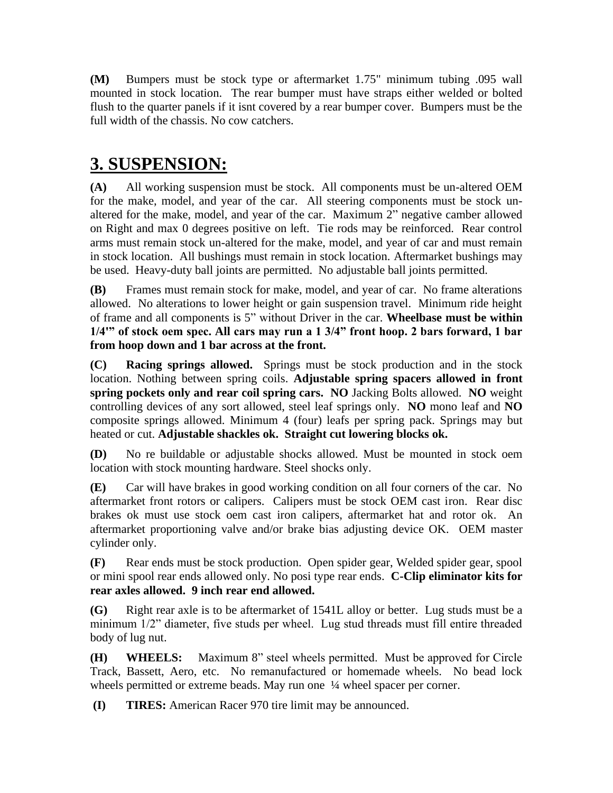**(M)** Bumpers must be stock type or aftermarket 1.75" minimum tubing .095 wall mounted in stock location. The rear bumper must have straps either welded or bolted flush to the quarter panels if it isnt covered by a rear bumper cover. Bumpers must be the full width of the chassis. No cow catchers.

## **3. SUSPENSION:**

**(A)** All working suspension must be stock. All components must be un-altered OEM for the make, model, and year of the car. All steering components must be stock unaltered for the make, model, and year of the car. Maximum 2" negative camber allowed on Right and max 0 degrees positive on left. Tie rods may be reinforced. Rear control arms must remain stock un-altered for the make, model, and year of car and must remain in stock location. All bushings must remain in stock location. Aftermarket bushings may be used. Heavy-duty ball joints are permitted. No adjustable ball joints permitted.

**(B)** Frames must remain stock for make, model, and year of car. No frame alterations allowed. No alterations to lower height or gain suspension travel. Minimum ride height of frame and all components is 5" without Driver in the car. **Wheelbase must be within 1/4'" of stock oem spec. All cars may run a 1 3/4" front hoop. 2 bars forward, 1 bar from hoop down and 1 bar across at the front.**

**(C) Racing springs allowed.** Springs must be stock production and in the stock location. Nothing between spring coils. **Adjustable spring spacers allowed in front spring pockets only and rear coil spring cars. NO** Jacking Bolts allowed. **NO** weight controlling devices of any sort allowed, steel leaf springs only. **NO** mono leaf and **NO** composite springs allowed. Minimum 4 (four) leafs per spring pack. Springs may but heated or cut. **Adjustable shackles ok. Straight cut lowering blocks ok.**

**(D)** No re buildable or adjustable shocks allowed. Must be mounted in stock oem location with stock mounting hardware. Steel shocks only.

**(E)** Car will have brakes in good working condition on all four corners of the car. No aftermarket front rotors or calipers. Calipers must be stock OEM cast iron. Rear disc brakes ok must use stock oem cast iron calipers, aftermarket hat and rotor ok. An aftermarket proportioning valve and/or brake bias adjusting device OK. OEM master cylinder only.

**(F)** Rear ends must be stock production. Open spider gear, Welded spider gear, spool or mini spool rear ends allowed only. No posi type rear ends. **C-Clip eliminator kits for rear axles allowed. 9 inch rear end allowed.**

**(G)** Right rear axle is to be aftermarket of 1541L alloy or better. Lug studs must be a minimum 1/2" diameter, five studs per wheel. Lug stud threads must fill entire threaded body of lug nut.

**(H) WHEELS:** Maximum 8" steel wheels permitted. Must be approved for Circle Track, Bassett, Aero, etc. No remanufactured or homemade wheels. No bead lock wheels permitted or extreme beads. May run one  $\frac{1}{4}$  wheel spacer per corner.

**(I) TIRES:** American Racer 970 tire limit may be announced.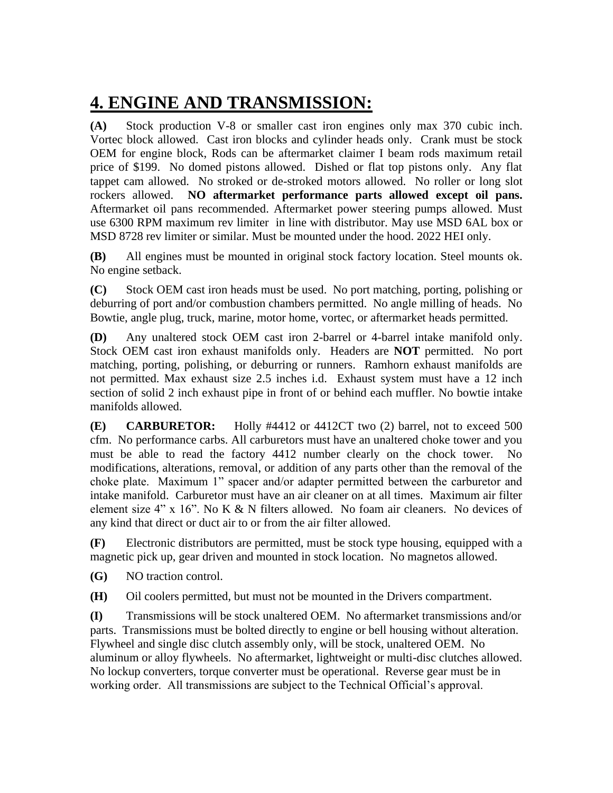## **4. ENGINE AND TRANSMISSION:**

**(A)** Stock production V-8 or smaller cast iron engines only max 370 cubic inch. Vortec block allowed. Cast iron blocks and cylinder heads only. Crank must be stock OEM for engine block, Rods can be aftermarket claimer I beam rods maximum retail price of \$199. No domed pistons allowed. Dished or flat top pistons only. Any flat tappet cam allowed. No stroked or de-stroked motors allowed. No roller or long slot rockers allowed. **NO aftermarket performance parts allowed except oil pans.**  Aftermarket oil pans recommended. Aftermarket power steering pumps allowed. Must use 6300 RPM maximum rev limiter in line with distributor. May use MSD 6AL box or MSD 8728 rev limiter or similar. Must be mounted under the hood. 2022 HEI only.

**(B)** All engines must be mounted in original stock factory location. Steel mounts ok. No engine setback.

**(C)** Stock OEM cast iron heads must be used. No port matching, porting, polishing or deburring of port and/or combustion chambers permitted. No angle milling of heads. No Bowtie, angle plug, truck, marine, motor home, vortec, or aftermarket heads permitted.

**(D)** Any unaltered stock OEM cast iron 2-barrel or 4-barrel intake manifold only. Stock OEM cast iron exhaust manifolds only. Headers are **NOT** permitted. No port matching, porting, polishing, or deburring or runners. Ramhorn exhaust manifolds are not permitted. Max exhaust size 2.5 inches i.d. Exhaust system must have a 12 inch section of solid 2 inch exhaust pipe in front of or behind each muffler. No bowtie intake manifolds allowed.

**(E) CARBURETOR:** Holly #4412 or 4412CT two (2) barrel, not to exceed 500 cfm. No performance carbs. All carburetors must have an unaltered choke tower and you must be able to read the factory 4412 number clearly on the chock tower. No modifications, alterations, removal, or addition of any parts other than the removal of the choke plate. Maximum 1" spacer and/or adapter permitted between the carburetor and intake manifold. Carburetor must have an air cleaner on at all times. Maximum air filter element size  $4$ " x 16". No K & N filters allowed. No foam air cleaners. No devices of any kind that direct or duct air to or from the air filter allowed.

**(F)** Electronic distributors are permitted, must be stock type housing, equipped with a magnetic pick up, gear driven and mounted in stock location. No magnetos allowed.

**(G)** NO traction control.

**(H)** Oil coolers permitted, but must not be mounted in the Drivers compartment.

**(I)** Transmissions will be stock unaltered OEM. No aftermarket transmissions and/or parts. Transmissions must be bolted directly to engine or bell housing without alteration. Flywheel and single disc clutch assembly only, will be stock, unaltered OEM. No aluminum or alloy flywheels. No aftermarket, lightweight or multi-disc clutches allowed. No lockup converters, torque converter must be operational. Reverse gear must be in working order. All transmissions are subject to the Technical Official's approval.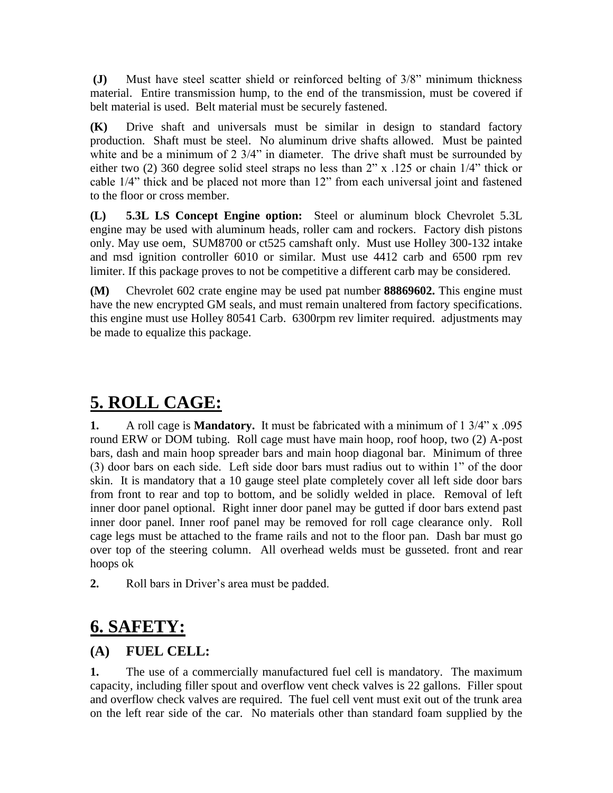**(J)** Must have steel scatter shield or reinforced belting of 3/8" minimum thickness material. Entire transmission hump, to the end of the transmission, must be covered if belt material is used. Belt material must be securely fastened.

**(K)** Drive shaft and universals must be similar in design to standard factory production. Shaft must be steel. No aluminum drive shafts allowed. Must be painted white and be a minimum of 2 3/4" in diameter. The drive shaft must be surrounded by either two (2) 360 degree solid steel straps no less than 2" x .125 or chain 1/4" thick or cable 1/4" thick and be placed not more than 12" from each universal joint and fastened to the floor or cross member.

**(L) 5.3L LS Concept Engine option:** Steel or aluminum block Chevrolet 5.3L engine may be used with aluminum heads, roller cam and rockers. Factory dish pistons only. May use oem, SUM8700 or ct525 camshaft only. Must use Holley 300-132 intake and msd ignition controller 6010 or similar. Must use 4412 carb and 6500 rpm rev limiter. If this package proves to not be competitive a different carb may be considered.

**(M)** Chevrolet 602 crate engine may be used pat number **88869602.** This engine must have the new encrypted GM seals, and must remain unaltered from factory specifications. this engine must use Holley 80541 Carb. 6300rpm rev limiter required. adjustments may be made to equalize this package.

# **5. ROLL CAGE:**

**1.** A roll cage is **Mandatory.** It must be fabricated with a minimum of 1 3/4" x .095 round ERW or DOM tubing. Roll cage must have main hoop, roof hoop, two (2) A-post bars, dash and main hoop spreader bars and main hoop diagonal bar. Minimum of three (3) door bars on each side. Left side door bars must radius out to within 1" of the door skin. It is mandatory that a 10 gauge steel plate completely cover all left side door bars from front to rear and top to bottom, and be solidly welded in place. Removal of left inner door panel optional. Right inner door panel may be gutted if door bars extend past inner door panel. Inner roof panel may be removed for roll cage clearance only. Roll cage legs must be attached to the frame rails and not to the floor pan. Dash bar must go over top of the steering column. All overhead welds must be gusseted. front and rear hoops ok

**2.** Roll bars in Driver's area must be padded.

## **6. SAFETY:**

#### **(A) FUEL CELL:**

**1.** The use of a commercially manufactured fuel cell is mandatory. The maximum capacity, including filler spout and overflow vent check valves is 22 gallons. Filler spout and overflow check valves are required. The fuel cell vent must exit out of the trunk area on the left rear side of the car. No materials other than standard foam supplied by the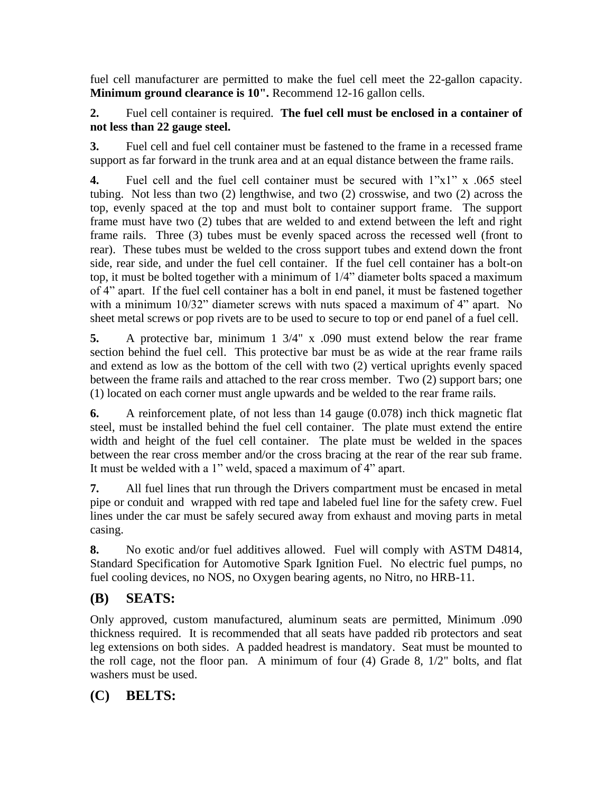fuel cell manufacturer are permitted to make the fuel cell meet the 22-gallon capacity. **Minimum ground clearance is 10".** Recommend 12-16 gallon cells.

#### **2.** Fuel cell container is required. **The fuel cell must be enclosed in a container of not less than 22 gauge steel.**

**3.** Fuel cell and fuel cell container must be fastened to the frame in a recessed frame support as far forward in the trunk area and at an equal distance between the frame rails.

**4.** Fuel cell and the fuel cell container must be secured with 1"x1" x .065 steel tubing. Not less than two (2) lengthwise, and two (2) crosswise, and two (2) across the top, evenly spaced at the top and must bolt to container support frame. The support frame must have two (2) tubes that are welded to and extend between the left and right frame rails. Three (3) tubes must be evenly spaced across the recessed well (front to rear). These tubes must be welded to the cross support tubes and extend down the front side, rear side, and under the fuel cell container. If the fuel cell container has a bolt-on top, it must be bolted together with a minimum of 1/4" diameter bolts spaced a maximum of 4" apart. If the fuel cell container has a bolt in end panel, it must be fastened together with a minimum 10/32" diameter screws with nuts spaced a maximum of 4" apart. No sheet metal screws or pop rivets are to be used to secure to top or end panel of a fuel cell.

**5.** A protective bar, minimum 1 3/4" x .090 must extend below the rear frame section behind the fuel cell. This protective bar must be as wide at the rear frame rails and extend as low as the bottom of the cell with two (2) vertical uprights evenly spaced between the frame rails and attached to the rear cross member. Two (2) support bars; one (1) located on each corner must angle upwards and be welded to the rear frame rails.

**6.** A reinforcement plate, of not less than 14 gauge (0.078) inch thick magnetic flat steel, must be installed behind the fuel cell container. The plate must extend the entire width and height of the fuel cell container. The plate must be welded in the spaces between the rear cross member and/or the cross bracing at the rear of the rear sub frame. It must be welded with a 1" weld, spaced a maximum of 4" apart.

**7.** All fuel lines that run through the Drivers compartment must be encased in metal pipe or conduit and wrapped with red tape and labeled fuel line for the safety crew. Fuel lines under the car must be safely secured away from exhaust and moving parts in metal casing.

**8.** No exotic and/or fuel additives allowed. Fuel will comply with ASTM D4814, Standard Specification for Automotive Spark Ignition Fuel. No electric fuel pumps, no fuel cooling devices, no NOS, no Oxygen bearing agents, no Nitro, no HRB-11.

### **(B) SEATS:**

Only approved, custom manufactured, aluminum seats are permitted, Minimum .090 thickness required. It is recommended that all seats have padded rib protectors and seat leg extensions on both sides. A padded headrest is mandatory. Seat must be mounted to the roll cage, not the floor pan. A minimum of four (4) Grade 8, 1/2" bolts, and flat washers must be used.

#### **(C) BELTS:**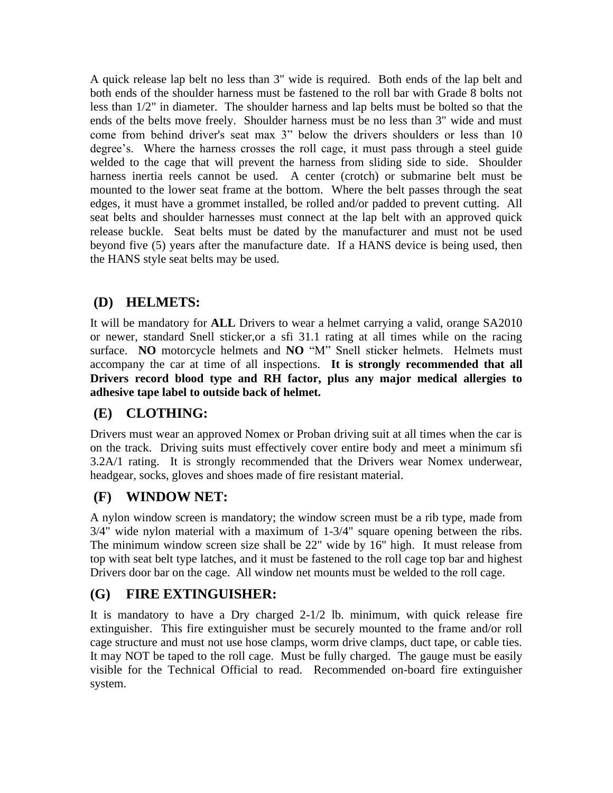A quick release lap belt no less than 3" wide is required. Both ends of the lap belt and both ends of the shoulder harness must be fastened to the roll bar with Grade 8 bolts not less than 1/2" in diameter. The shoulder harness and lap belts must be bolted so that the ends of the belts move freely. Shoulder harness must be no less than 3" wide and must come from behind driver's seat max 3" below the drivers shoulders or less than 10 degree's. Where the harness crosses the roll cage, it must pass through a steel guide welded to the cage that will prevent the harness from sliding side to side. Shoulder harness inertia reels cannot be used. A center (crotch) or submarine belt must be mounted to the lower seat frame at the bottom. Where the belt passes through the seat edges, it must have a grommet installed, be rolled and/or padded to prevent cutting. All seat belts and shoulder harnesses must connect at the lap belt with an approved quick release buckle. Seat belts must be dated by the manufacturer and must not be used beyond five (5) years after the manufacture date. If a HANS device is being used, then the HANS style seat belts may be used.

### **(D) HELMETS:**

It will be mandatory for **ALL** Drivers to wear a helmet carrying a valid, orange SA2010 or newer, standard Snell sticker,or a sfi 31.1 rating at all times while on the racing surface. **NO** motorcycle helmets and **NO** "M" Snell sticker helmets. Helmets must accompany the car at time of all inspections. **It is strongly recommended that all Drivers record blood type and RH factor, plus any major medical allergies to adhesive tape label to outside back of helmet.** 

#### **(E) CLOTHING:**

Drivers must wear an approved Nomex or Proban driving suit at all times when the car is on the track. Driving suits must effectively cover entire body and meet a minimum sfi 3.2A/1 rating. It is strongly recommended that the Drivers wear Nomex underwear, headgear, socks, gloves and shoes made of fire resistant material.

#### **(F) WINDOW NET:**

A nylon window screen is mandatory; the window screen must be a rib type, made from 3/4" wide nylon material with a maximum of 1-3/4" square opening between the ribs. The minimum window screen size shall be 22" wide by 16" high. It must release from top with seat belt type latches, and it must be fastened to the roll cage top bar and highest Drivers door bar on the cage. All window net mounts must be welded to the roll cage.

### **(G) FIRE EXTINGUISHER:**

It is mandatory to have a Dry charged  $2\text{-}1/2$  lb. minimum, with quick release fire extinguisher. This fire extinguisher must be securely mounted to the frame and/or roll cage structure and must not use hose clamps, worm drive clamps, duct tape, or cable ties. It may NOT be taped to the roll cage. Must be fully charged. The gauge must be easily visible for the Technical Official to read. Recommended on-board fire extinguisher system.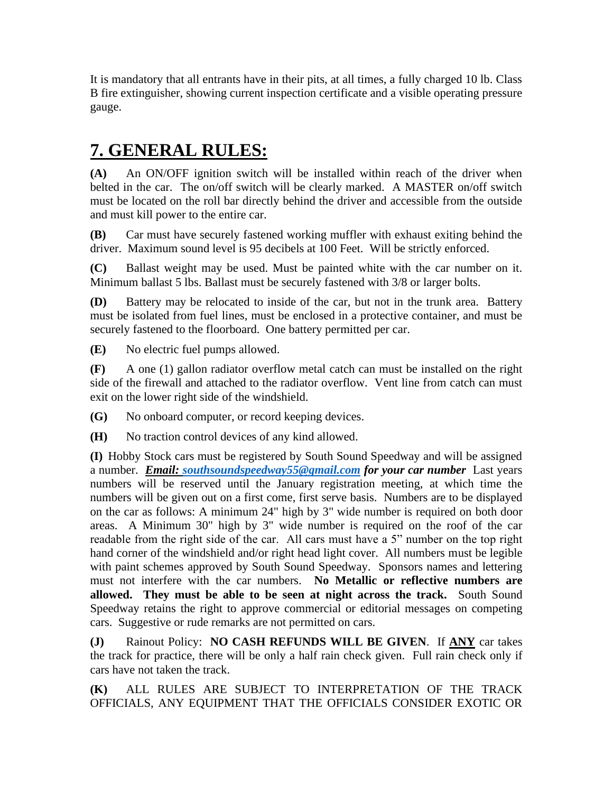It is mandatory that all entrants have in their pits, at all times, a fully charged 10 lb. Class B fire extinguisher, showing current inspection certificate and a visible operating pressure gauge.

### **7. GENERAL RULES:**

**(A)** An ON/OFF ignition switch will be installed within reach of the driver when belted in the car. The on/off switch will be clearly marked. A MASTER on/off switch must be located on the roll bar directly behind the driver and accessible from the outside and must kill power to the entire car.

**(B)** Car must have securely fastened working muffler with exhaust exiting behind the driver. Maximum sound level is 95 decibels at 100 Feet. Will be strictly enforced.

**(C)** Ballast weight may be used. Must be painted white with the car number on it. Minimum ballast 5 lbs. Ballast must be securely fastened with 3/8 or larger bolts.

**(D)** Battery may be relocated to inside of the car, but not in the trunk area. Battery must be isolated from fuel lines, must be enclosed in a protective container, and must be securely fastened to the floorboard. One battery permitted per car.

**(E)** No electric fuel pumps allowed.

**(F)** A one (1) gallon radiator overflow metal catch can must be installed on the right side of the firewall and attached to the radiator overflow. Vent line from catch can must exit on the lower right side of the windshield.

**(G)** No onboard computer, or record keeping devices.

**(H)** No traction control devices of any kind allowed.

**(I)** Hobby Stock cars must be registered by South Sound Speedway and will be assigned a number. *Email: [southsoundspeedway55@gmail.com](mailto:southsoundspeedway55@gmail.com) for your car number* Last years numbers will be reserved until the January registration meeting, at which time the numbers will be given out on a first come, first serve basis. Numbers are to be displayed on the car as follows: A minimum 24" high by 3" wide number is required on both door areas. A Minimum 30" high by 3" wide number is required on the roof of the car readable from the right side of the car. All cars must have a 5" number on the top right hand corner of the windshield and/or right head light cover. All numbers must be legible with paint schemes approved by South Sound Speedway. Sponsors names and lettering must not interfere with the car numbers. **No Metallic or reflective numbers are allowed. They must be able to be seen at night across the track.** South Sound Speedway retains the right to approve commercial or editorial messages on competing cars. Suggestive or rude remarks are not permitted on cars.

**(J)** Rainout Policy: **NO CASH REFUNDS WILL BE GIVEN**. If **ANY** car takes the track for practice, there will be only a half rain check given. Full rain check only if cars have not taken the track.

**(K)** ALL RULES ARE SUBJECT TO INTERPRETATION OF THE TRACK OFFICIALS, ANY EQUIPMENT THAT THE OFFICIALS CONSIDER EXOTIC OR